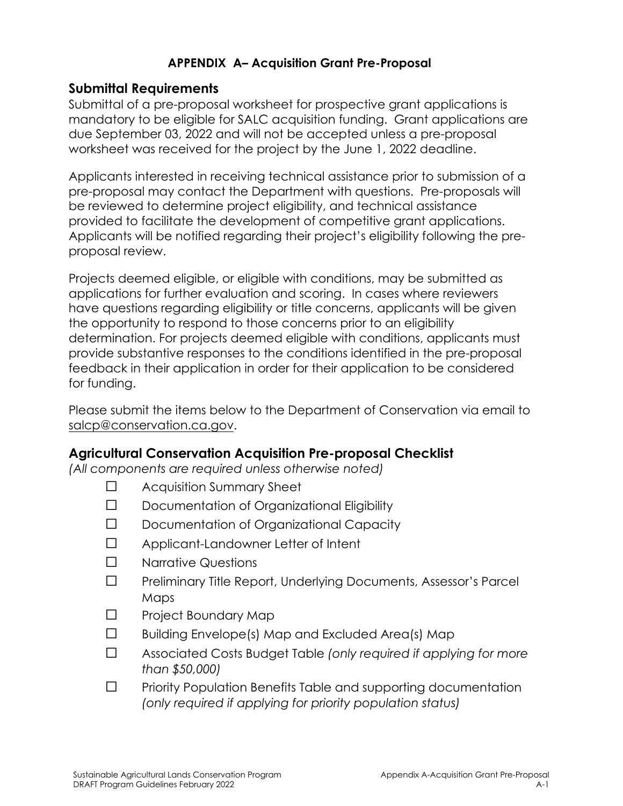## **APPENDIX A– Acquisition Grant Pre-Proposal**

## **Submittal Requirements**

Submittal of a pre-proposal worksheet for prospective grant applications is mandatory to be eligible for SALC acquisition funding. Grant applications are due September 03, 2022 and will not be accepted unless a pre-proposal worksheet was received for the project by the June 1, 2022 deadline.

Applicants interested in receiving technical assistance prior to submission of a pre-proposal may contact the Department with questions. Pre-proposals will be reviewed to determine project eligibility, and technical assistance provided to facilitate the development of competitive grant applications. Applicants will be notified regarding their project's eligibility following the preproposal review.

Projects deemed eligible, or eligible with conditions, may be submitted as applications for further evaluation and scoring. In cases where reviewers have questions regarding eligibility or title concerns, applicants will be given the opportunity to respond to those concerns prior to an eligibility determination. For projects deemed eligible with conditions, applicants must provide substantive responses to the conditions identified in the pre-proposal feedback in their application in order for their application to be considered for funding.

Please submit the items below to the Department of Conservation via email to [salcp@conservation.ca.gov.](mailto:salcp@conservation.ca.gov)

## **Agricultural Conservation Acquisition Pre-proposal Checklist**

*(All components are required unless otherwise noted)* 

- ☐ Acquisition Summary Sheet
- ☐ Documentation of Organizational Eligibility
- ☐ Documentation of Organizational Capacity
- ☐ Applicant-Landowner Letter of Intent
- ☐ Narrative Questions
- ☐ Preliminary Title Report, Underlying Documents, Assessor's Parcel Maps
- ☐ Project Boundary Map
- ☐ Building Envelope(s) Map and Excluded Area(s) Map
- ☐ Associated Costs Budget Table *(only required if applying for more than \$50,000)*
- ☐ Priority Population Benefits Table and supporting documentation *(only required if applying for priority population status)*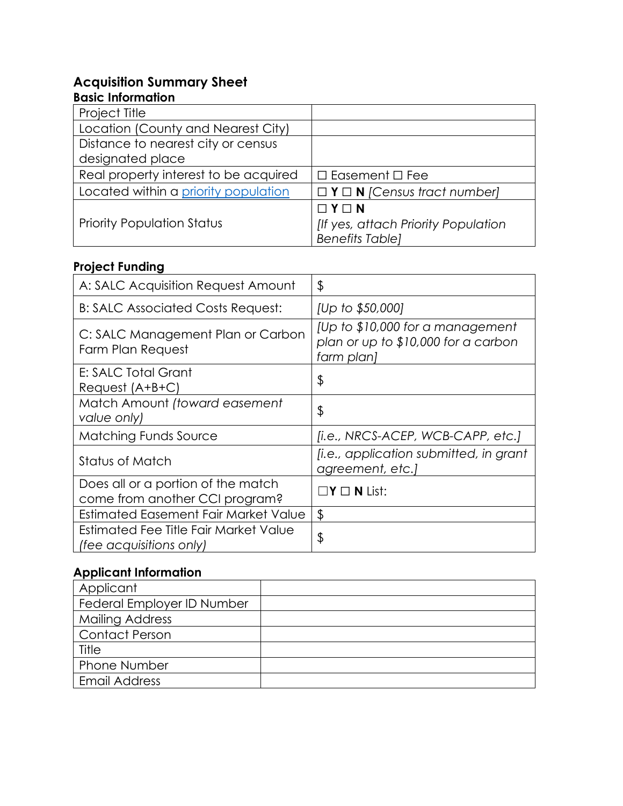## **Acquisition Summary Sheet**

#### **Basic Information**

| Project Title                         |                                                              |
|---------------------------------------|--------------------------------------------------------------|
| Location (County and Nearest City)    |                                                              |
| Distance to nearest city or census    |                                                              |
| designated place                      |                                                              |
| Real property interest to be acquired | $\Box$ Easement $\Box$ Fee                                   |
| Located within a priority population  | $\Box$ <b>Y</b> $\Box$ <b>N</b> <i>[Census tract number]</i> |
|                                       | $\Box$ $Y \Box$ N                                            |
| <b>Priority Population Status</b>     | [If yes, attach Priority Population                          |
|                                       | <b>Benefits Tablel</b>                                       |

# **Project Funding**

| A: SALC Acquisition Request Amount                                   | \$                                                                                     |
|----------------------------------------------------------------------|----------------------------------------------------------------------------------------|
| B: SALC Associated Costs Request:                                    | [Up to \$50,000]                                                                       |
| C: SALC Management Plan or Carbon<br>Farm Plan Request               | [Up to \$10,000 for a management]<br>plan or up to \$10,000 for a carbon<br>farm plan] |
| E: SALC Total Grant<br>$Request (A+B+C)$                             | \$                                                                                     |
| Match Amount (toward easement<br>value only)                         | \$                                                                                     |
| <b>Matching Funds Source</b>                                         | [i.e., NRCS-ACEP, WCB-CAPP, etc.]                                                      |
| <b>Status of Match</b>                                               | <i>[i.e., application submitted, in grant</i><br>agreement, etc.)                      |
| Does all or a portion of the match<br>come from another CCI program? | $\square$ Y $\square$ N List:                                                          |
| Estimated Easement Fair Market Value                                 | \$                                                                                     |
| Estimated Fee Title Fair Market Value<br>(fee acquisitions only)     | \$                                                                                     |

# **Applicant Information**

| Applicant                  |  |
|----------------------------|--|
| Federal Employer ID Number |  |
| <b>Mailing Address</b>     |  |
| <b>Contact Person</b>      |  |
| Title                      |  |
| <b>Phone Number</b>        |  |
| <b>Email Address</b>       |  |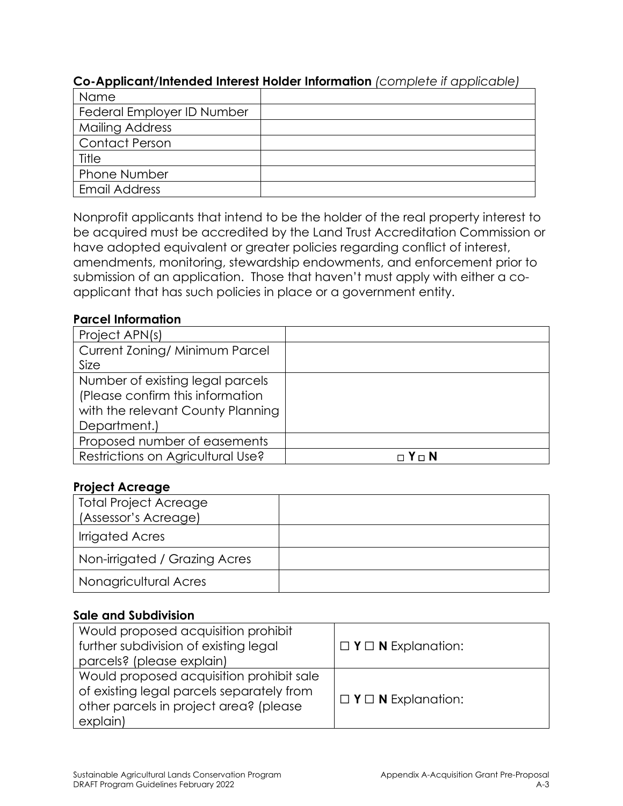| . .                        |  |  |  |
|----------------------------|--|--|--|
| Name                       |  |  |  |
| Federal Employer ID Number |  |  |  |
| <b>Mailing Address</b>     |  |  |  |
| <b>Contact Person</b>      |  |  |  |
| Title                      |  |  |  |
| <b>Phone Number</b>        |  |  |  |
| <b>Email Address</b>       |  |  |  |

## **Co-Applicant/Intended Interest Holder Information** *(complete if applicable)*

 submission of an application. Those that haven't must apply with either a co-Nonprofit applicants that intend to be the holder of the real property interest to be acquired must be accredited by the Land Trust Accreditation Commission or have adopted equivalent or greater policies regarding conflict of interest, amendments, monitoring, stewardship endowments, and enforcement prior to applicant that has such policies in place or a government entity.

#### **Parcel Information**

| Project APN(s)                    |         |
|-----------------------------------|---------|
| Current Zoning/ Minimum Parcel    |         |
| Size                              |         |
| Number of existing legal parcels  |         |
| (Please confirm this information  |         |
| with the relevant County Planning |         |
| Department.)                      |         |
| Proposed number of easements      |         |
| Restrictions on Agricultural Use? | □ Y □ N |

#### **Project Acreage**

| <b>Total Project Acreage</b>  |  |
|-------------------------------|--|
| (Assessor's Acreage)          |  |
| <b>Irrigated Acres</b>        |  |
| Non-irrigated / Grazing Acres |  |
| Nonagricultural Acres         |  |

#### **Sale and Subdivision**

| Would proposed acquisition prohibit<br>further subdivision of existing legal<br>parcels? (please explain)                                   | $\Box$ <b>Y</b> $\Box$ <b>N</b> Explanation: |
|---------------------------------------------------------------------------------------------------------------------------------------------|----------------------------------------------|
| Would proposed acquisition prohibit sale<br>of existing legal parcels separately from<br>other parcels in project area? (please<br>explain) | $\Box$ <b>Y</b> $\Box$ <b>N</b> Explanation: |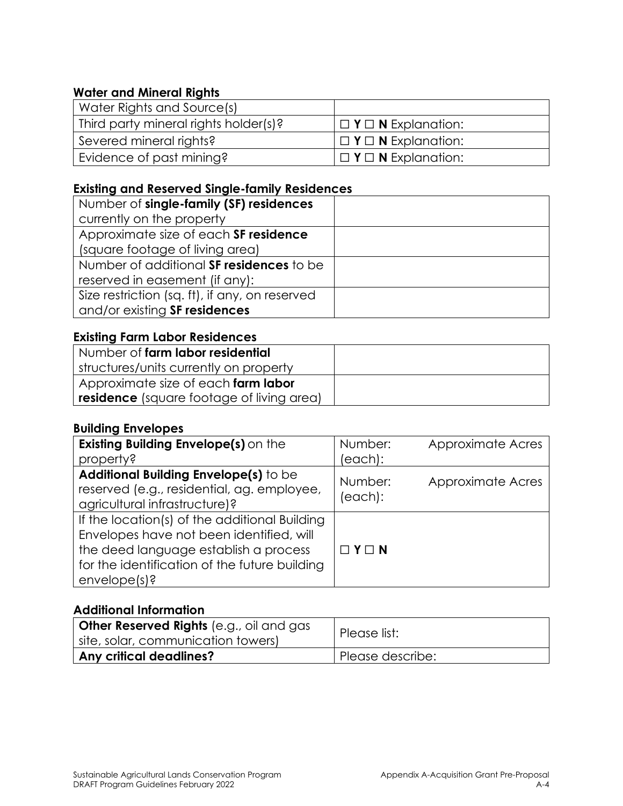## **Water and Mineral Rights**

| Water Rights and Source(s)            |                                              |
|---------------------------------------|----------------------------------------------|
| Third party mineral rights holder(s)? | $\Box$ <b>Y</b> $\Box$ <b>N</b> Explanation: |
| Severed mineral rights?               | $\Box$ <b>Y</b> $\Box$ <b>N</b> Explanation: |
| Evidence of past mining?              | $\Box$ <b>Y</b> $\Box$ <b>N</b> Explanation: |

## **Existing and Reserved Single-family Residences**

| Number of single-family (SF) residences        |  |
|------------------------------------------------|--|
| currently on the property                      |  |
| Approximate size of each SF residence          |  |
| (square footage of living area)                |  |
| Number of additional SF residences to be       |  |
| reserved in easement (if any):                 |  |
| Size restriction (sq. ft), if any, on reserved |  |
| and/or existing SF residences                  |  |

## **Existing Farm Labor Residences**

| Number of farm labor residential                 |  |
|--------------------------------------------------|--|
| structures/units currently on property           |  |
| Approximate size of each <b>farm labor</b>       |  |
| <b>residence</b> (square footage of living area) |  |

#### **Building Envelopes**

| Existing Building Envelope(s) on the                                                                                                                                                                   | Number:            | Approximate Acres |
|--------------------------------------------------------------------------------------------------------------------------------------------------------------------------------------------------------|--------------------|-------------------|
| property?                                                                                                                                                                                              | (each):            |                   |
| Additional Building Envelope(s) to be<br>reserved (e.g., residential, ag. employee,<br>agricultural infrastructure)?                                                                                   | Number:<br>(each): | Approximate Acres |
| If the location(s) of the additional Building<br>Envelopes have not been identified, will<br>the deed language establish a process<br>for the identification of the future building<br>$envelope(s)$ ? | $\Box$ $Y \Box$ N  |                   |

#### **Additional Information**

| <b>Other Reserved Rights</b> (e.g., oil and gas<br>I site, solar, communication towers) | Please list:     |
|-----------------------------------------------------------------------------------------|------------------|
| <b>Any critical deadlines?</b>                                                          | Please describe: |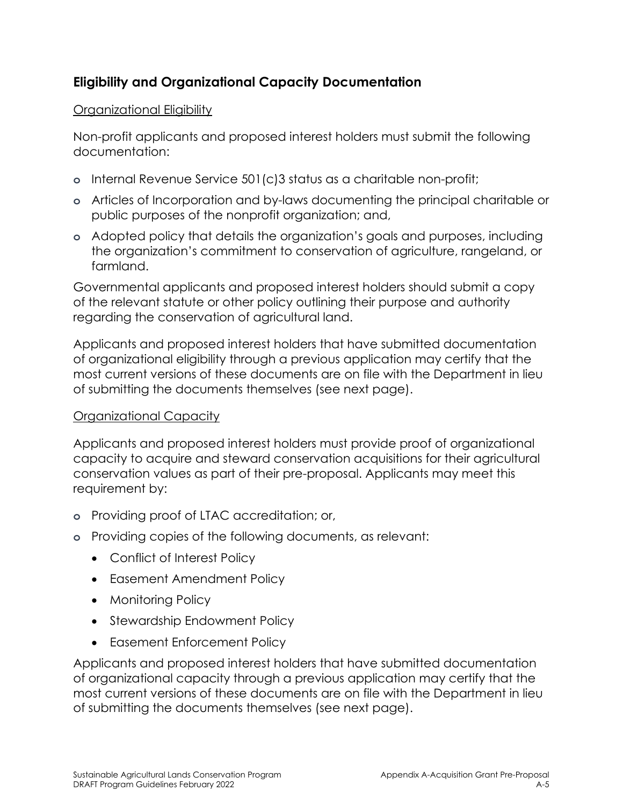# **Eligibility and Organizational Capacity Documentation**

## Organizational Eligibility

Non-profit applicants and proposed interest holders must submit the following documentation:

- **o** Internal Revenue Service 501(c)3 status as a charitable non-profit;
- **o** Articles of Incorporation and by-laws documenting the principal charitable or public purposes of the nonprofit organization; and,
- **o** Adopted policy that details the organization's goals and purposes, including the organization's commitment to conservation of agriculture, rangeland, or farmland.

Governmental applicants and proposed interest holders should submit a copy of the relevant statute or other policy outlining their purpose and authority regarding the conservation of agricultural land.

Applicants and proposed interest holders that have submitted documentation of organizational eligibility through a previous application may certify that the most current versions of these documents are on file with the Department in lieu of submitting the documents themselves (see next page).

## Organizational Capacity

Applicants and proposed interest holders must provide proof of organizational capacity to acquire and steward conservation acquisitions for their agricultural conservation values as part of their pre-proposal. Applicants may meet this requirement by:

- **o** Providing proof of LTAC accreditation; or,
- **o** Providing copies of the following documents, as relevant:
	- Conflict of Interest Policy
	- Easement Amendment Policy
	- Monitoring Policy
	- Stewardship Endowment Policy
	- Easement Enforcement Policy

Applicants and proposed interest holders that have submitted documentation of organizational capacity through a previous application may certify that the most current versions of these documents are on file with the Department in lieu of submitting the documents themselves (see next page).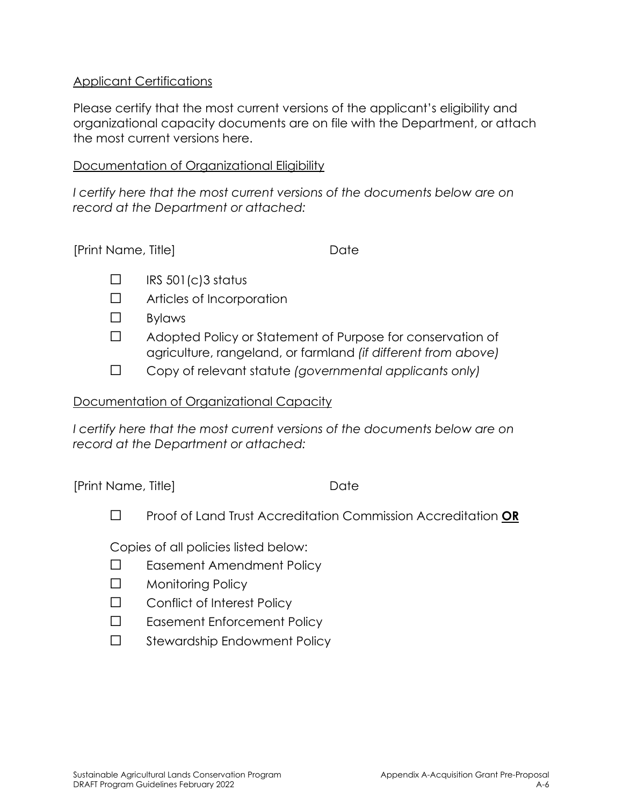### Applicant Certifications

Please certify that the most current versions of the applicant's eligibility and organizational capacity documents are on file with the Department, or attach the most current versions here.

#### Documentation of Organizational Eligibility

I certify here that the most current versions of the documents below are on *record at the Department or attached:* 

| [Print Name, Title] | Date |
|---------------------|------|
|                     |      |

- $\square$  IRS 501(c)3 status
- ☐ Articles of Incorporation
- $\Box$ **Bylaws**
- ☐ Adopted Policy or Statement of Purpose for conservation of agriculture, rangeland, or farmland *(if different from above)*
- ☐ Copy of relevant statute *(governmental applicants only)*

### Documentation of Organizational Capacity

I certify here that the most current versions of the documents below are on *record at the Department or attached:* 

[Print Name, Title] Date

☐ Proof of Land Trust Accreditation Commission Accreditation **OR** 

Copies of all policies listed below:

- ☐ Easement Amendment Policy
- ☐ Monitoring Policy
- ☐ Conflict of Interest Policy
- ☐ Easement Enforcement Policy
- ☐ Stewardship Endowment Policy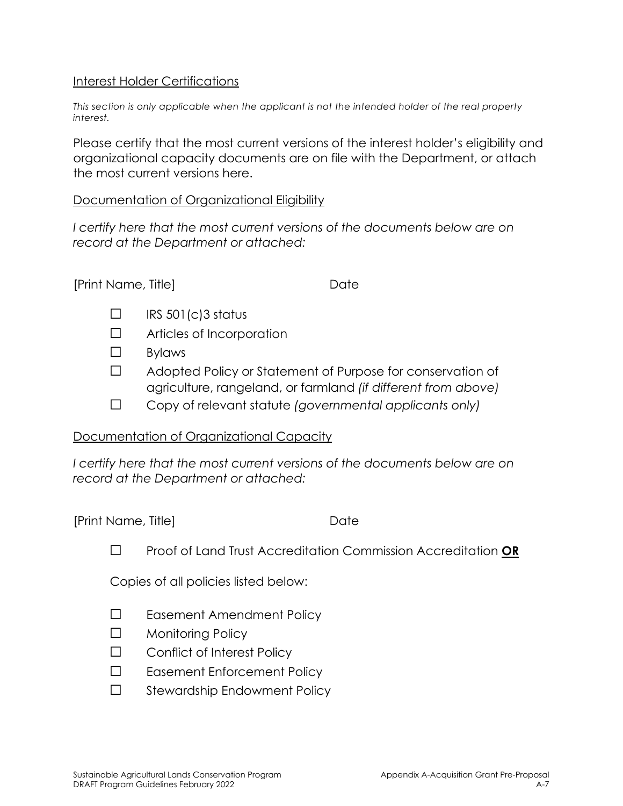#### Interest Holder Certifications

*This section is only applicable when the applicant is not the intended holder of the real property interest.* 

Please certify that the most current versions of the interest holder's eligibility and organizational capacity documents are on file with the Department, or attach the most current versions here.

#### Documentation of Organizational Eligibility

*I certify here that the most current versions of the documents below are on record at the Department or attached:* 

#### [Print Name, Title] Date

- $\Box$  IRS 501(c)3 status
- ☐ Articles of Incorporation
- $\Box$ **Bylaws**
- ☐ Adopted Policy or Statement of Purpose for conservation of agriculture, rangeland, or farmland *(if different from above)*
- ☐ Copy of relevant statute *(governmental applicants only)*

#### Documentation of Organizational Capacity

I certify here that the most current versions of the documents below are on *record at the Department or attached:* 

[Print Name, Title] Date

☐ Proof of Land Trust Accreditation Commission Accreditation **OR** 

Copies of all policies listed below:

- ☐ Easement Amendment Policy
- ☐ Monitoring Policy
- ☐ Conflict of Interest Policy
- ☐ Easement Enforcement Policy
- ☐ Stewardship Endowment Policy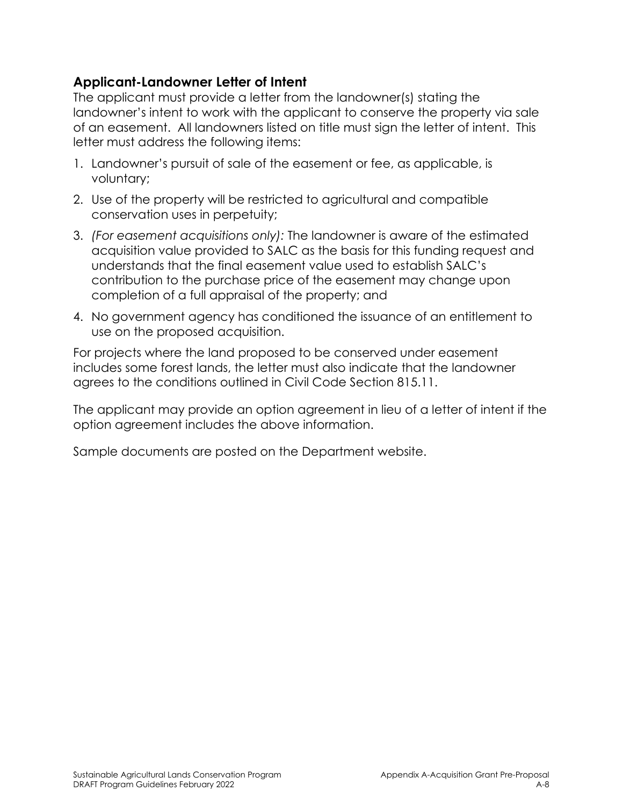# **Applicant-Landowner Letter of Intent**

The applicant must provide a letter from the landowner(s) stating the landowner's intent to work with the applicant to conserve the property via sale of an easement. All landowners listed on title must sign the letter of intent. This letter must address the following items:

- 1. Landowner's pursuit of sale of the easement or fee, as applicable, is voluntary;
- 2. Use of the property will be restricted to agricultural and compatible conservation uses in perpetuity;
- 3. *(For easement acquisitions only):* The landowner is aware of the estimated acquisition value provided to SALC as the basis for this funding request and understands that the final easement value used to establish SALC's contribution to the purchase price of the easement may change upon completion of a full appraisal of the property; and
- 4. No government agency has conditioned the issuance of an entitlement to use on the proposed acquisition.

For projects where the land proposed to be conserved under easement includes some forest lands, the letter must also indicate that the landowner agrees to the conditions outlined in Civil Code Section 815.11.

The applicant may provide an option agreement in lieu of a letter of intent if the option agreement includes the above information.

Sample documents are posted on the Department website.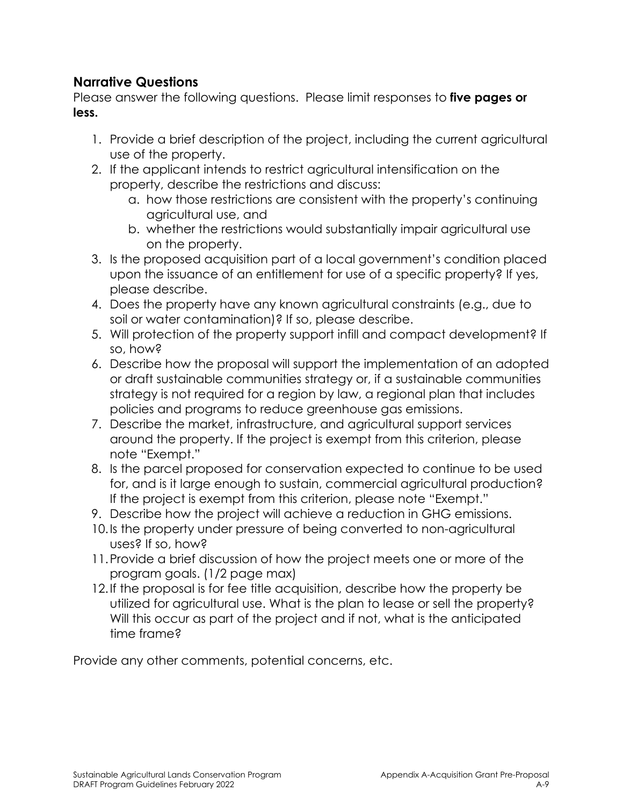## **Narrative Questions**

Please answer the following questions. Please limit responses to **five pages or less.** 

- 1. Provide a brief description of the project, including the current agricultural use of the property.
- property, describe the restrictions and discuss: 2. If the applicant intends to restrict agricultural intensification on the
	- a. how those restrictions are consistent with the property's continuing agricultural use, and
	- b. whether the restrictions would substantially impair agricultural use on the property.
- upon the issuance of an entitlement for use of a specific property? If yes, 3. Is the proposed acquisition part of a local government's condition placed please describe.
- 4. Does the property have any known agricultural constraints (e.g., due to soil or water contamination)? If so, please describe.
- 5. Will protection of the property support infill and compact development? If so, how?
- 6. Describe how the proposal will support the implementation of an adopted or draft sustainable communities strategy or, if a sustainable communities strategy is not required for a region by law, a regional plan that includes policies and programs to reduce greenhouse gas emissions.
- 7. Describe the market, infrastructure, and agricultural support services around the property. If the project is exempt from this criterion, please note "Exempt."
- 8. Is the parcel proposed for conservation expected to continue to be used for, and is it large enough to sustain, commercial agricultural production? If the project is exempt from this criterion, please note "Exempt."
- 9. Describe how the project will achieve a reduction in GHG emissions.
- 10.Is the property under pressure of being converted to non-agricultural uses? If so, how?
- program goals. (1/2 page max) 11.Provide a brief discussion of how the project meets one or more of the
- 12.If the proposal is for fee title acquisition, describe how the property be utilized for agricultural use. What is the plan to lease or sell the property? Will this occur as part of the project and if not, what is the anticipated time frame?

Provide any other comments, potential concerns, etc.